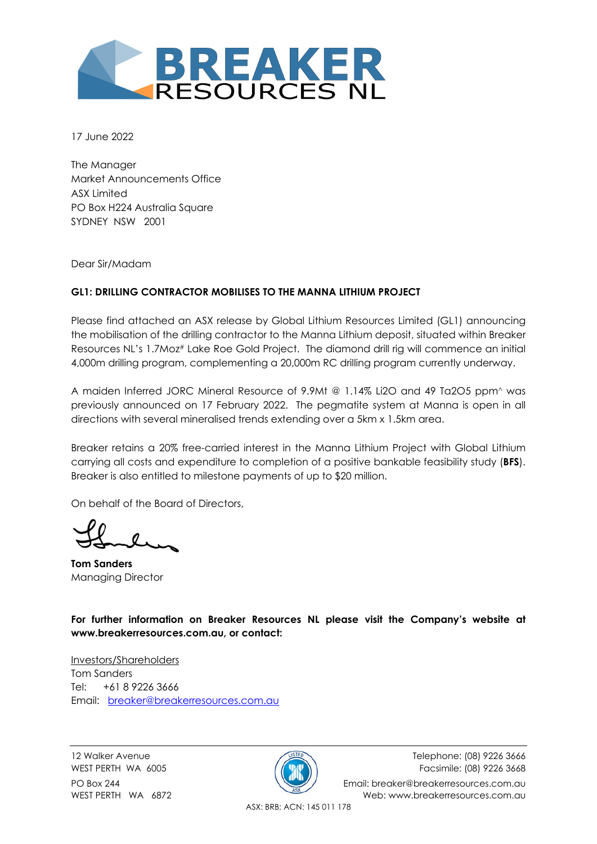

17 June 2022

The Manager Market Announcements Office ASX Limited PO Box H224 Australia Square SYDNEY NSW 2001

Dear Sir/Madam

#### **GL1: DRILLING CONTRACTOR MOBILISES TO THE MANNA LITHIUM PROJECT**

Please find attached an ASX release by Global Lithium Resources Limited (GL1) announcing the mobilisation of the drilling contractor to the Manna Lithium deposit, situated within Breaker Resources NL's 1.7Moz# Lake Roe Gold Project. The diamond drill rig will commence an initial 4,000m drilling program, complementing a 20,000m RC drilling program currently underway.

A maiden Inferred JORC Mineral Resource of 9.9Mt @ 1.14% Li2O and 49 Ta2O5 ppm^ was previously announced on 17 February 2022. The pegmatite system at Manna is open in all directions with several mineralised trends extending over a 5km x 1.5km area.

Breaker retains a 20% free-carried interest in the Manna Lithium Project with Global Lithium carrying all costs and expenditure to completion of a positive bankable feasibility study (**BFS**). Breaker is also entitled to milestone payments of up to \$20 million.

On behalf of the Board of Directors,

**Tom Sanders**  Managing Director

**For further information on Breaker Resources NL please visit the Company's website at www.breakerresources.com.au, or contact:** 

Investors/Shareholders Tom Sanders Tel: +61 8 9226 3666 Email: breaker@breakerresources.com.au



12 Walker Avenue Telephone: (08) 9226 3666 WEST PERTH WA 6005 **Facsimile: (08) 9226 3668** Facsimile: (08) 9226 3668 PO Box 244 **Email: breaker@breakerresources.com.au** WEST PERTH WA 6872 Web: www.breakerresources.com.au

ASX: BRB; ACN: 145 011 178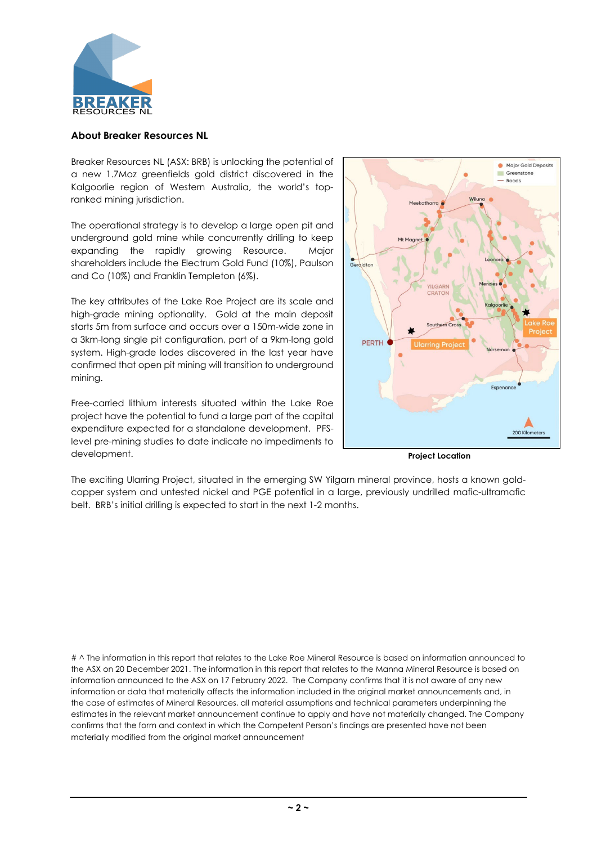

#### **About Breaker Resources NL**

Breaker Resources NL (ASX: BRB) is unlocking the potential of a new 1.7Moz greenfields gold district discovered in the Kalgoorlie region of Western Australia, the world's topranked mining jurisdiction.

The operational strategy is to develop a large open pit and underground gold mine while concurrently drilling to keep expanding the rapidly growing Resource. Major shareholders include the Electrum Gold Fund (10%), Paulson and Co (10%) and Franklin Templeton (6%).

The key attributes of the Lake Roe Project are its scale and high-grade mining optionality. Gold at the main deposit starts 5m from surface and occurs over a 150m-wide zone in a 3km-long single pit configuration, part of a 9km-long gold system. High-grade lodes discovered in the last year have confirmed that open pit mining will transition to underground mining.

Free-carried lithium interests situated within the Lake Roe project have the potential to fund a large part of the capital expenditure expected for a standalone development. PFSlevel pre-mining studies to date indicate no impediments to development.



**Project Location**

The exciting Ularring Project, situated in the emerging SW Yilgarn mineral province, hosts a known goldcopper system and untested nickel and PGE potential in a large, previously undrilled mafic-ultramafic belt. BRB's initial drilling is expected to start in the next 1-2 months.

# ^ The information in this report that relates to the Lake Roe Mineral Resource is based on information announced to the ASX on 20 December 2021. The information in this report that relates to the Manna Mineral Resource is based on information announced to the ASX on 17 February 2022. The Company confirms that it is not aware of any new information or data that materially affects the information included in the original market announcements and, in the case of estimates of Mineral Resources, all material assumptions and technical parameters underpinning the estimates in the relevant market announcement continue to apply and have not materially changed. The Company confirms that the form and context in which the Competent Person's findings are presented have not been materially modified from the original market announcement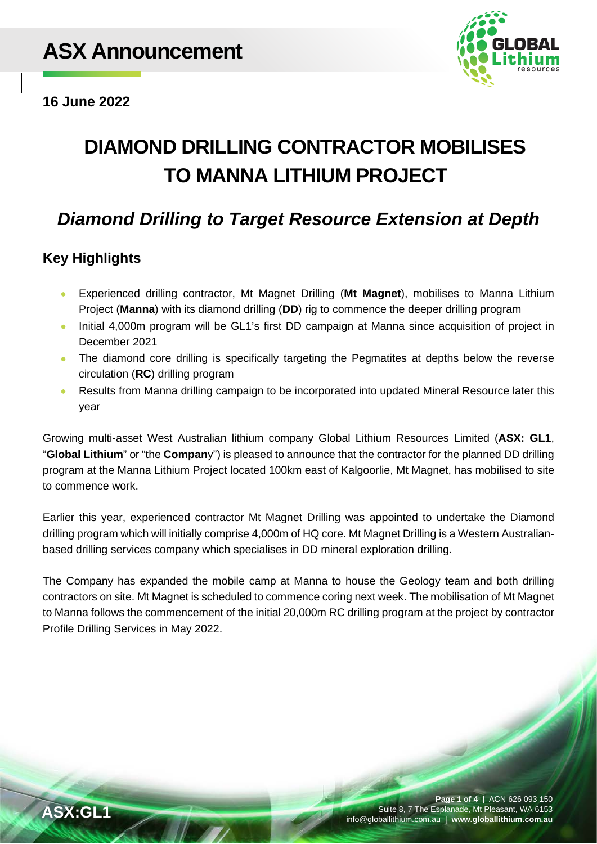

**16 June 2022**

# **DIAMOND DRILLING CONTRACTOR MOBILISES TO MANNA LITHIUM PROJECT**

# *Diamond Drilling to Target Resource Extension at Depth*

## **Key Highlights**

- Experienced drilling contractor, Mt Magnet Drilling (**Mt Magnet**), mobilises to Manna Lithium Project (**Manna**) with its diamond drilling (**DD**) rig to commence the deeper drilling program
- Initial 4,000m program will be GL1's first DD campaign at Manna since acquisition of project in December 2021
- The diamond core drilling is specifically targeting the Pegmatites at depths below the reverse circulation (**RC**) drilling program
- Results from Manna drilling campaign to be incorporated into updated Mineral Resource later this year

Growing multi-asset West Australian lithium company Global Lithium Resources Limited (**ASX: GL1**, "**Global Lithium**" or "the **Compan**y") is pleased to announce that the contractor for the planned DD drilling program at the Manna Lithium Project located 100km east of Kalgoorlie, Mt Magnet, has mobilised to site to commence work.

Earlier this year, experienced contractor Mt Magnet Drilling was appointed to undertake the Diamond drilling program which will initially comprise 4,000m of HQ core. Mt Magnet Drilling is a Western Australianbased drilling services company which specialises in DD mineral exploration drilling.

The Company has expanded the mobile camp at Manna to house the Geology team and both drilling contractors on site. Mt Magnet is scheduled to commence coring next week. The mobilisation of Mt Magnet to Manna follows the commencement of the initial 20,000m RC drilling program at the project by contractor Profile Drilling Services in May 2022.

**Page 1 of 4** | ACN 626 093 150 Suite 8, 7 The Esplanade, Mt Pleasant, WA 6153 **ASX:GL1** info@globallithium.com.au | **www.globallithium.com.au**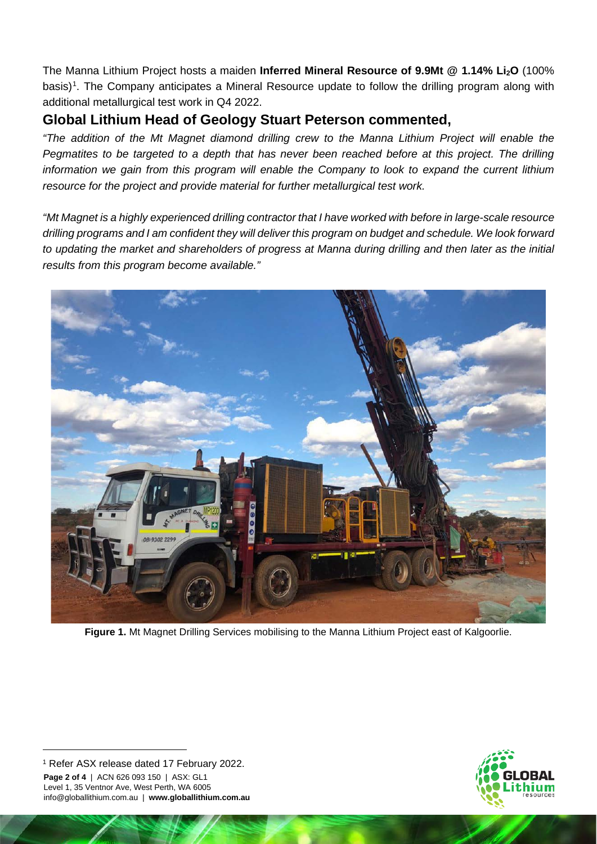The Manna Lithium Project hosts a maiden **Inferred Mineral Resource of 9.9Mt @ 1.14% Li2O** (100% basis)<sup>[1](#page-3-0)</sup>. The Company anticipates a Mineral Resource update to follow the drilling program along with additional metallurgical test work in Q4 2022.

### **Global Lithium Head of Geology Stuart Peterson commented,**

*"The addition of the Mt Magnet diamond drilling crew to the Manna Lithium Project will enable the Pegmatites to be targeted to a depth that has never been reached before at this project. The drilling information we gain from this program will enable the Company to look to expand the current lithium resource for the project and provide material for further metallurgical test work.* 

*"Mt Magnet is a highly experienced drilling contractor that I have worked with before in large-scale resource drilling programs and I am confident they will deliver this program on budget and schedule. We look forward to updating the market and shareholders of progress at Manna during drilling and then later as the initial results from this program become available."*



**Figure 1.** Mt Magnet Drilling Services mobilising to the Manna Lithium Project east of Kalgoorlie.

<span id="page-3-0"></span>**Page 2 of 4** | ACN 626 093 150 | ASX: GL1 Level 1, 35 Ventnor Ave, West Perth, WA 6005 info@globallithium.com.au | **www.globallithium.com.au** <sup>1</sup> Refer ASX release dated 17 February 2022.

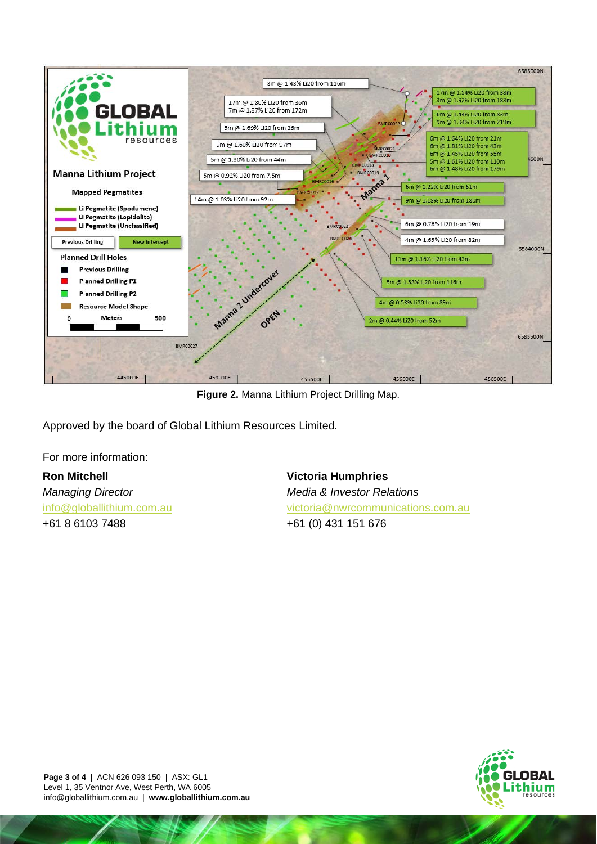

**Figure 2.** Manna Lithium Project Drilling Map.

Approved by the board of Global Lithium Resources Limited.

For more information:

#### **Ron Mitchell**

*Managing Director* [info@globallithium.com.au](mailto:info@globallithium.com.au) +61 8 6103 7488

**Victoria Humphries** *Media & Investor Relations* [victoria@nwrcommunications.com.au](mailto:victoria@nwrcommunications.com.au) +61 (0) 431 151 676